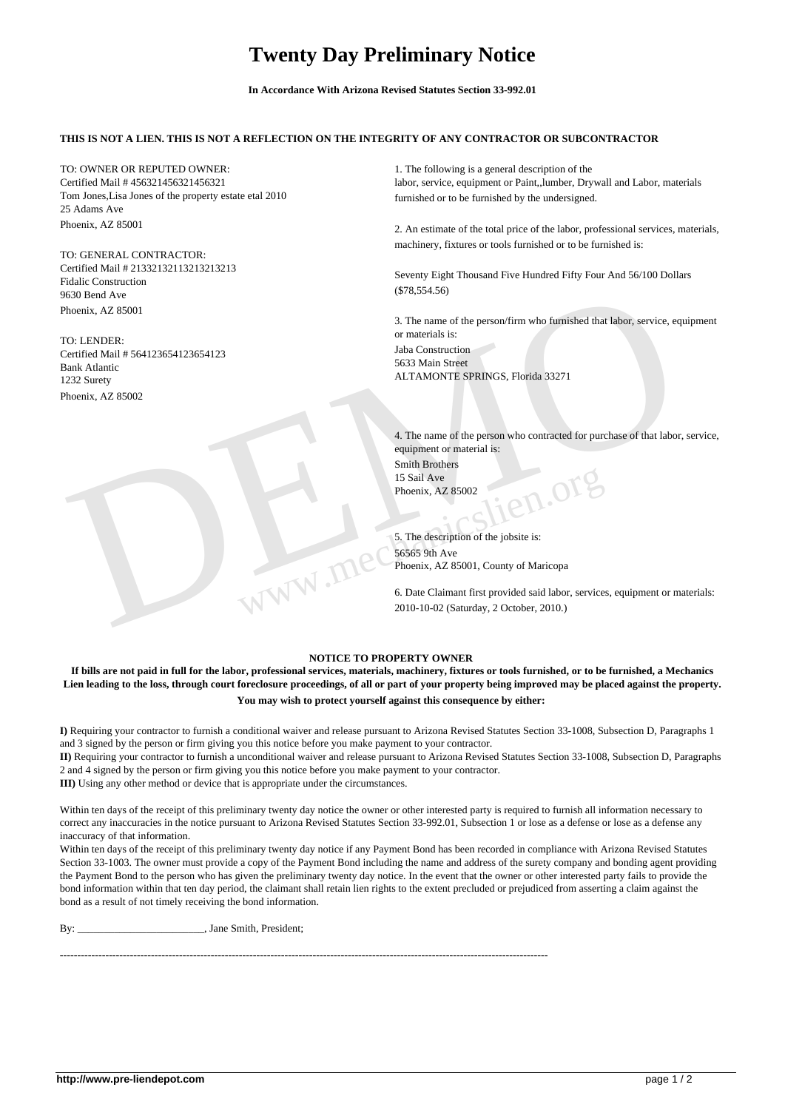## **Twenty Day Preliminary Notice**

**In Accordance With Arizona Revised Statutes Section 33-992.01**

## **THIS IS NOT A LIEN. THIS IS NOT A REFLECTION ON THE INTEGRITY OF ANY CONTRACTOR OR SUBCONTRACTOR**

TO: OWNER OR REPUTED OWNER: Certified Mail # 456321456321456321 Tom Jones,Lisa Jones of the property estate etal 2010 25 Adams Ave Phoenix, AZ 85001

TO: GENERAL CONTRACTOR: Certified Mail # 21332132113213213213 Fidalic Construction 9630 Bend Ave Phoenix, AZ 85001

TO: LENDER: Certified Mail # 564123654123654123 Bank Atlantic 1232 Surety Phoenix, AZ 85002

1. The following is a general description of the labor, service, equipment or Paint,,lumber, Drywall and Labor, materials furnished or to be furnished by the undersigned.

2. An estimate of the total price of the labor, professional services, materials, machinery, fixtures or tools furnished or to be furnished is:

Seventy Eight Thousand Five Hundred Fifty Four And 56/100 Dollars (\$78,554.56)

3. The name of the person/firm who furnished that labor, service, equipment or materials is: Jaba Construction 5633 Main Street ALTAMONTE SPRINGS, Florida 33271

3630 Bend Ave (\$78,554.56)<br>
Theories, AZ 85001<br>
TO: LENDER:<br>
Certified Mail # 564123654123654123<br>
Certified Mail # 564123654123654123<br>
Dan Constantion<br>
3. The anne of the person who contracted for purchase of that labor, 4. The name of the person who contracted for purchase of that labor, service, equipment or material is: Smith Brothers 15 Sail Ave Phoenix, AZ 85002

5. The description of the jobsite is: 56565 9th Ave Phoenix, AZ 85001, County of Maricopa

6. Date Claimant first provided said labor, services, equipment or materials: 2010-10-02 (Saturday, 2 October, 2010.)

## **NOTICE TO PROPERTY OWNER**

**If bills are not paid in full for the labor, professional services, materials, machinery, fixtures or tools furnished, or to be furnished, a Mechanics Lien leading to the loss, through court foreclosure proceedings, of all or part of your property being improved may be placed against the property. You may wish to protect yourself against this consequence by either:** 

**I)** Requiring your contractor to furnish a conditional waiver and release pursuant to Arizona Revised Statutes Section 33-1008, Subsection D, Paragraphs 1 and 3 signed by the person or firm giving you this notice before you make payment to your contractor.

**II)** Requiring your contractor to furnish a unconditional waiver and release pursuant to Arizona Revised Statutes Section 33-1008, Subsection D, Paragraphs 2 and 4 signed by the person or firm giving you this notice before you make payment to your contractor.

**III)** Using any other method or device that is appropriate under the circumstances.

Within ten days of the receipt of this preliminary twenty day notice the owner or other interested party is required to furnish all information necessary to correct any inaccuracies in the notice pursuant to Arizona Revised Statutes Section 33-992.01, Subsection 1 or lose as a defense or lose as a defense any inaccuracy of that information.

Within ten days of the receipt of this preliminary twenty day notice if any Payment Bond has been recorded in compliance with Arizona Revised Statutes Section 33-1003. The owner must provide a copy of the Payment Bond including the name and address of the surety company and bonding agent providing the Payment Bond to the person who has given the preliminary twenty day notice. In the event that the owner or other interested party fails to provide the bond information within that ten day period, the claimant shall retain lien rights to the extent precluded or prejudiced from asserting a claim against the bond as a result of not timely receiving the bond information.

By: \_\_\_\_\_\_\_\_\_\_\_\_\_\_\_\_\_\_\_\_\_\_\_\_\_, Jane Smith, President;

-------------------------------------------------------------------------------------------------------------------------------------------